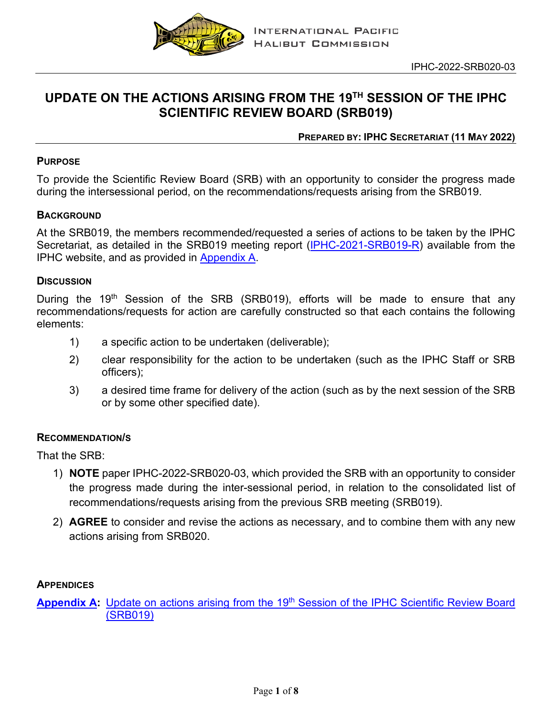

# **UPDATE ON THE ACTIONS ARISING FROM THE 19TH SESSION OF THE IPHC SCIENTIFIC REVIEW BOARD (SRB019)**

## **PREPARED BY: IPHC SECRETARIAT (11 MAY 2022)**

#### **PURPOSE**

To provide the Scientific Review Board (SRB) with an opportunity to consider the progress made during the intersessional period, on the recommendations/requests arising from the SRB019.

### **BACKGROUND**

At the SRB019, the members recommended/requested a series of actions to be taken by the IPHC Secretariat, as detailed in the SRB019 meeting report [\(IPHC-2021-SRB019-R\)](https://www.iphc.int/uploads/pdf/srb/srb019/iphc-2021-srb019-r.pdf) available from the IPHC website, and as provided in [Appendix](#page-1-0) A.

#### **DISCUSSION**

During the 19<sup>th</sup> Session of the SRB (SRB019), efforts will be made to ensure that any recommendations/requests for action are carefully constructed so that each contains the following elements:

- 1) a specific action to be undertaken (deliverable);
- 2) clear responsibility for the action to be undertaken (such as the IPHC Staff or SRB officers);
- 3) a desired time frame for delivery of the action (such as by the next session of the SRB or by some other specified date).

#### **RECOMMENDATION/S**

That the SRB:

- 1) **NOTE** paper IPHC-2022-SRB020-03, which provided the SRB with an opportunity to consider the progress made during the inter-sessional period, in relation to the consolidated list of recommendations/requests arising from the previous SRB meeting (SRB019).
- 2) **AGREE** to consider and revise the actions as necessary, and to combine them with any new actions arising from SRB020.

#### **APPENDICES**

**[Appendix](#page-1-0) A:** Update on actions arising from the 19<sup>th</sup> Session of the IPHC Scientific Review Board [\(SRB019\)](#page-1-0)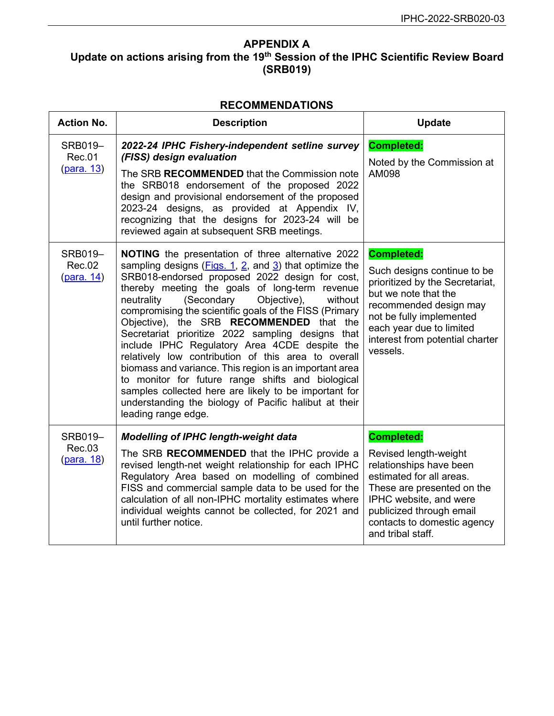# <span id="page-1-0"></span>**APPENDIX A Update on actions arising from the 19th Session of the IPHC Scientific Review Board (SRB019)**

## **RECOMMENDATIONS**

| <b>Action No.</b>                             | <b>Description</b>                                                                                                                                                                                                                                                                                                                                                                                                                                                                                                                                                                                                                                                                                                                                                                                        | <b>Update</b>                                                                                                                                                                                                                                |
|-----------------------------------------------|-----------------------------------------------------------------------------------------------------------------------------------------------------------------------------------------------------------------------------------------------------------------------------------------------------------------------------------------------------------------------------------------------------------------------------------------------------------------------------------------------------------------------------------------------------------------------------------------------------------------------------------------------------------------------------------------------------------------------------------------------------------------------------------------------------------|----------------------------------------------------------------------------------------------------------------------------------------------------------------------------------------------------------------------------------------------|
| SRB019-<br><b>Rec.01</b><br><u>(para. 13)</u> | 2022-24 IPHC Fishery-independent setline survey<br>(FISS) design evaluation<br>The SRB RECOMMENDED that the Commission note<br>the SRB018 endorsement of the proposed 2022<br>design and provisional endorsement of the proposed<br>2023-24 designs, as provided at Appendix IV,<br>recognizing that the designs for 2023-24 will be<br>reviewed again at subsequent SRB meetings.                                                                                                                                                                                                                                                                                                                                                                                                                        | <b>Completed:</b><br>Noted by the Commission at<br>AM098                                                                                                                                                                                     |
| SRB019-<br><b>Rec.02</b><br>(para. 14)        | <b>NOTING</b> the presentation of three alternative 2022<br>sampling designs $(Figs. 1, 2, and 3)$ that optimize the<br>SRB018-endorsed proposed 2022 design for cost,<br>thereby meeting the goals of long-term revenue<br>(Secondary<br>Objective),<br>neutrality<br>without<br>compromising the scientific goals of the FISS (Primary<br>Objective), the SRB RECOMMENDED that the<br>Secretariat prioritize 2022 sampling designs that<br>include IPHC Regulatory Area 4CDE despite the<br>relatively low contribution of this area to overall<br>biomass and variance. This region is an important area<br>to monitor for future range shifts and biological<br>samples collected here are likely to be important for<br>understanding the biology of Pacific halibut at their<br>leading range edge. | <b>Completed:</b><br>Such designs continue to be<br>prioritized by the Secretariat,<br>but we note that the<br>recommended design may<br>not be fully implemented<br>each year due to limited<br>interest from potential charter<br>vessels. |
| <b>SRB019-</b><br>Rec.03<br><u>(para. 18)</u> | <b>Modelling of IPHC length-weight data</b><br>The SRB RECOMMENDED that the IPHC provide a<br>revised length-net weight relationship for each IPHC<br>Regulatory Area based on modelling of combined<br>FISS and commercial sample data to be used for the<br>calculation of all non-IPHC mortality estimates where<br>individual weights cannot be collected, for 2021 and<br>until further notice.                                                                                                                                                                                                                                                                                                                                                                                                      | <b>Completed:</b><br>Revised length-weight<br>relationships have been<br>estimated for all areas.<br>These are presented on the<br>IPHC website, and were<br>publicized through email<br>contacts to domestic agency<br>and tribal staff.    |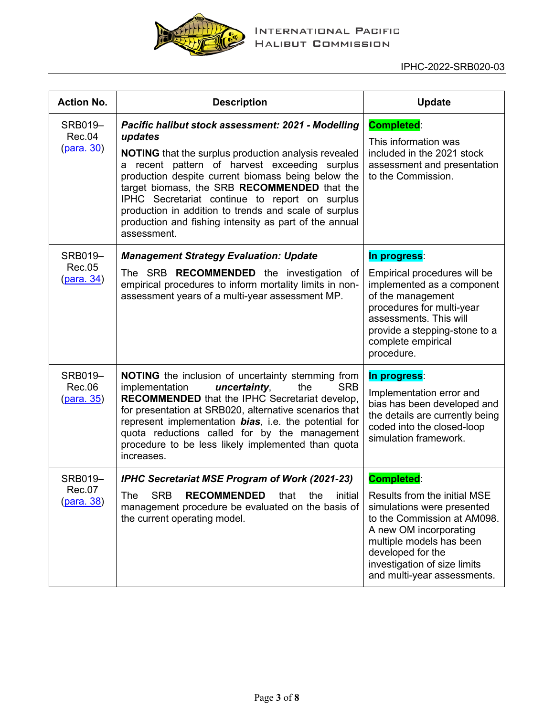

| <b>Action No.</b>                             | <b>Description</b>                                                                                                                                                                                                                                                                                                                                                                                                                                                      | <b>Update</b>                                                                                                                                                                                               |
|-----------------------------------------------|-------------------------------------------------------------------------------------------------------------------------------------------------------------------------------------------------------------------------------------------------------------------------------------------------------------------------------------------------------------------------------------------------------------------------------------------------------------------------|-------------------------------------------------------------------------------------------------------------------------------------------------------------------------------------------------------------|
| SRB019-<br>Rec.04<br><u>(para. 30)</u>        | Pacific halibut stock assessment: 2021 - Modelling<br>updates<br><b>NOTING</b> that the surplus production analysis revealed<br>a recent pattern of harvest exceeding surplus<br>production despite current biomass being below the<br>target biomass, the SRB RECOMMENDED that the<br>IPHC Secretariat continue to report on surplus<br>production in addition to trends and scale of surplus<br>production and fishing intensity as part of the annual<br>assessment. | <b>Completed:</b><br>This information was<br>included in the 2021 stock<br>assessment and presentation<br>to the Commission.                                                                                |
| <b>SRB019-</b><br><b>Rec.05</b>               | <b>Management Strategy Evaluation: Update</b>                                                                                                                                                                                                                                                                                                                                                                                                                           | In progress:                                                                                                                                                                                                |
| (para. 34)                                    | The SRB <b>RECOMMENDED</b> the investigation of<br>empirical procedures to inform mortality limits in non-<br>assessment years of a multi-year assessment MP.                                                                                                                                                                                                                                                                                                           | Empirical procedures will be<br>implemented as a component<br>of the management<br>procedures for multi-year<br>assessments. This will<br>provide a stepping-stone to a<br>complete empirical<br>procedure. |
| <b>SRB019-</b><br>Rec.06<br><u>(para. 35)</u> | <b>NOTING</b> the inclusion of uncertainty stemming from<br>implementation<br>uncertainty,<br><b>SRB</b><br>the<br><b>RECOMMENDED</b> that the IPHC Secretariat develop,<br>for presentation at SRB020, alternative scenarios that<br>represent implementation bias, i.e. the potential for<br>quota reductions called for by the management<br>procedure to be less likely implemented than quota<br>increases.                                                        | In progress:<br>Implementation error and<br>bias has been developed and<br>the details are currently being<br>coded into the closed-loop<br>simulation framework.                                           |
| SRB019-                                       | <b>IPHC Secretariat MSE Program of Work (2021-23)</b>                                                                                                                                                                                                                                                                                                                                                                                                                   | <b>Completed:</b>                                                                                                                                                                                           |
| Rec.07<br>(para. 38)                          | The SRB <b>RECOMMENDED</b> that the initial Results from the initial MSE<br>management procedure be evaluated on the basis of<br>the current operating model.                                                                                                                                                                                                                                                                                                           | simulations were presented<br>to the Commission at AM098.<br>A new OM incorporating<br>multiple models has been<br>developed for the<br>investigation of size limits<br>and multi-year assessments.         |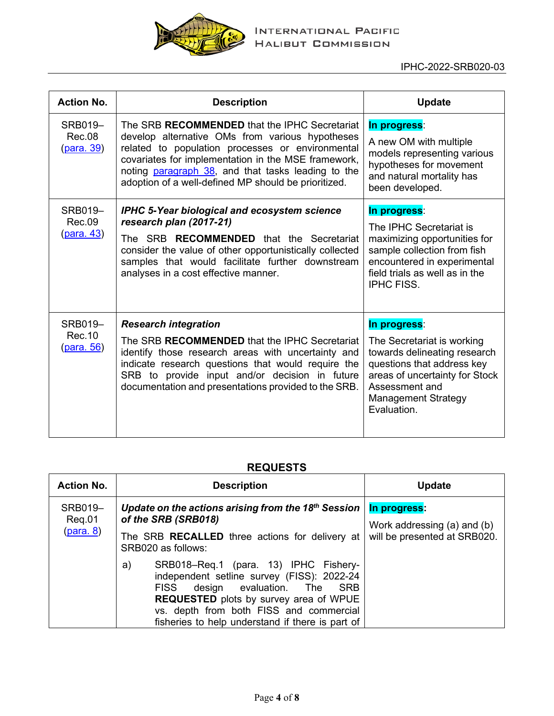

| <b>Action No.</b>                              | <b>Description</b>                                                                                                                                                                                                                                                                                                        | <b>Update</b>                                                                                                                                                                                             |
|------------------------------------------------|---------------------------------------------------------------------------------------------------------------------------------------------------------------------------------------------------------------------------------------------------------------------------------------------------------------------------|-----------------------------------------------------------------------------------------------------------------------------------------------------------------------------------------------------------|
| SRB019-<br>Rec.08<br><u>(para. 39)</u>         | The SRB RECOMMENDED that the IPHC Secretariat<br>develop alternative OMs from various hypotheses<br>related to population processes or environmental<br>covariates for implementation in the MSE framework,<br>noting paragraph 38, and that tasks leading to the<br>adoption of a well-defined MP should be prioritized. | In progress:<br>A new OM with multiple<br>models representing various<br>hypotheses for movement<br>and natural mortality has<br>been developed.                                                          |
| <b>SRB019-</b><br>Rec.09<br><u>(para. 43)</u>  | <b>IPHC 5-Year biological and ecosystem science</b><br>research plan (2017-21)<br>The SRB <b>RECOMMENDED</b> that the Secretariat<br>consider the value of other opportunistically collected<br>samples that would facilitate further downstream<br>analyses in a cost effective manner.                                  | In progress:<br>The IPHC Secretariat is<br>maximizing opportunities for<br>sample collection from fish<br>encountered in experimental<br>field trials as well as in the<br><b>IPHC FISS.</b>              |
| <b>SRB019-</b><br>Rec. 10<br><u>(para. 56)</u> | <b>Research integration</b><br>The SRB RECOMMENDED that the IPHC Secretariat<br>identify those research areas with uncertainty and<br>indicate research questions that would require the<br>SRB to provide input and/or decision in future<br>documentation and presentations provided to the SRB.                        | In progress:<br>The Secretariat is working<br>towards delineating research<br>questions that address key<br>areas of uncertainty for Stock<br>Assessment and<br><b>Management Strategy</b><br>Evaluation. |

## **REQUESTS**

| <b>Action No.</b>                            | <b>Description</b>                                                                                                                                                                                                                                                           | <b>Update</b>                                                               |
|----------------------------------------------|------------------------------------------------------------------------------------------------------------------------------------------------------------------------------------------------------------------------------------------------------------------------------|-----------------------------------------------------------------------------|
| <b>SRB019-</b><br>Reg.01<br><u>(para. 8)</u> | Update on the actions arising from the 18 <sup>th</sup> Session $\vert$<br>of the SRB (SRB018)                                                                                                                                                                               | In progress:<br>Work addressing (a) and (b)<br>will be presented at SRB020. |
|                                              | The SRB <b>RECALLED</b> three actions for delivery at<br>SRB020 as follows:                                                                                                                                                                                                  |                                                                             |
|                                              | SRB018-Req.1 (para. 13) IPHC Fishery-<br>a)<br>independent setline survey (FISS): 2022-24<br>FISS design evaluation. The SRB<br><b>REQUESTED</b> plots by survey area of WPUE<br>vs. depth from both FISS and commercial<br>fisheries to help understand if there is part of |                                                                             |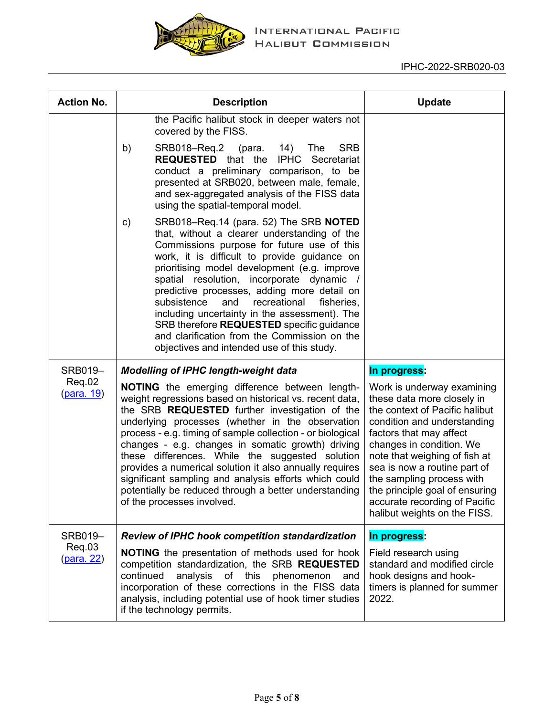

| <b>Action No.</b>           | <b>Description</b>                                                                                                                                                                                                                                                                                                                                                                                                                                                                                                                                                                                             | <b>Update</b>                                                                                                                                                                                                                                                                                                                                                                     |
|-----------------------------|----------------------------------------------------------------------------------------------------------------------------------------------------------------------------------------------------------------------------------------------------------------------------------------------------------------------------------------------------------------------------------------------------------------------------------------------------------------------------------------------------------------------------------------------------------------------------------------------------------------|-----------------------------------------------------------------------------------------------------------------------------------------------------------------------------------------------------------------------------------------------------------------------------------------------------------------------------------------------------------------------------------|
|                             | the Pacific halibut stock in deeper waters not<br>covered by the FISS.                                                                                                                                                                                                                                                                                                                                                                                                                                                                                                                                         |                                                                                                                                                                                                                                                                                                                                                                                   |
|                             | b)<br>SRB018-Req.2<br><b>SRB</b><br>(para.<br>14)<br>The<br><b>REQUESTED</b> that the<br><b>IPHC</b><br>Secretariat<br>conduct a preliminary comparison, to be<br>presented at SRB020, between male, female,<br>and sex-aggregated analysis of the FISS data<br>using the spatial-temporal model.                                                                                                                                                                                                                                                                                                              |                                                                                                                                                                                                                                                                                                                                                                                   |
|                             | SRB018-Req.14 (para. 52) The SRB NOTED<br>c)<br>that, without a clearer understanding of the<br>Commissions purpose for future use of this<br>work, it is difficult to provide guidance on<br>prioritising model development (e.g. improve<br>spatial resolution, incorporate dynamic<br>$\frac{1}{2}$<br>predictive processes, adding more detail on<br>subsistence<br>and<br>recreational<br>fisheries,<br>including uncertainty in the assessment). The<br>SRB therefore REQUESTED specific guidance<br>and clarification from the Commission on the<br>objectives and intended use of this study.          |                                                                                                                                                                                                                                                                                                                                                                                   |
| SRB019-                     | <b>Modelling of IPHC length-weight data</b>                                                                                                                                                                                                                                                                                                                                                                                                                                                                                                                                                                    | In progress:                                                                                                                                                                                                                                                                                                                                                                      |
| Req.02<br><u>(para. 19)</u> | <b>NOTING</b> the emerging difference between length-<br>weight regressions based on historical vs. recent data,<br>the SRB <b>REQUESTED</b> further investigation of the<br>underlying processes (whether in the observation<br>process - e.g. timing of sample collection - or biological<br>changes - e.g. changes in somatic growth) driving<br>these differences. While the suggested solution<br>provides a numerical solution it also annually requires<br>significant sampling and analysis efforts which could<br>potentially be reduced through a better understanding<br>of the processes involved. | Work is underway examining<br>these data more closely in<br>the context of Pacific halibut<br>condition and understanding<br>factors that may affect<br>changes in condition. We<br>note that weighing of fish at<br>sea is now a routine part of<br>the sampling process with<br>the principle goal of ensuring<br>accurate recording of Pacific<br>halibut weights on the FISS. |
| SRB019-                     | <b>Review of IPHC hook competition standardization</b>                                                                                                                                                                                                                                                                                                                                                                                                                                                                                                                                                         | In progress:                                                                                                                                                                                                                                                                                                                                                                      |
| Req.03<br><u>(para. 22)</u> | <b>NOTING</b> the presentation of methods used for hook<br>competition standardization, the SRB REQUESTED<br>continued<br>analysis<br>of this<br>phenomenon<br>and<br>incorporation of these corrections in the FISS data<br>analysis, including potential use of hook timer studies<br>if the technology permits.                                                                                                                                                                                                                                                                                             | Field research using<br>standard and modified circle<br>hook designs and hook-<br>timers is planned for summer<br>2022.                                                                                                                                                                                                                                                           |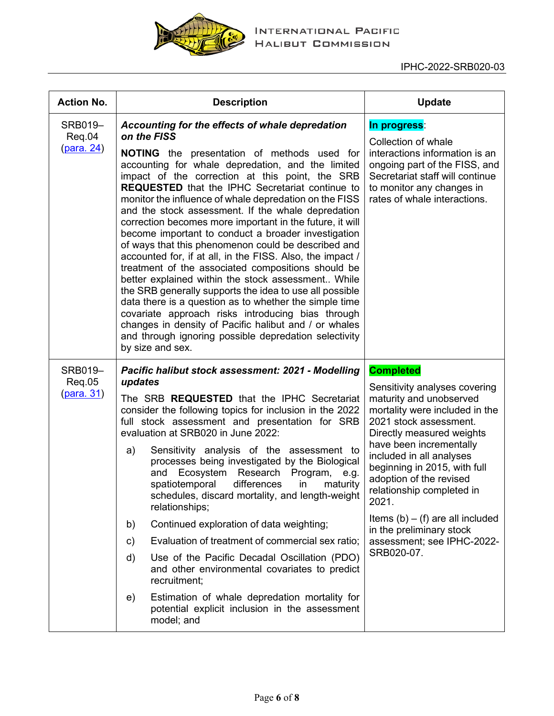

| <b>Action No.</b>                      | <b>Description</b>                                                                                                                                                                                                                                                                                                                                                                                                                                                                                                                                                                                                                                                                                                                                                                                                                                                                                                                                                                                                                                                 | <b>Update</b>                                                                                                                                                                                                                                                                                                                                                                                                                               |
|----------------------------------------|--------------------------------------------------------------------------------------------------------------------------------------------------------------------------------------------------------------------------------------------------------------------------------------------------------------------------------------------------------------------------------------------------------------------------------------------------------------------------------------------------------------------------------------------------------------------------------------------------------------------------------------------------------------------------------------------------------------------------------------------------------------------------------------------------------------------------------------------------------------------------------------------------------------------------------------------------------------------------------------------------------------------------------------------------------------------|---------------------------------------------------------------------------------------------------------------------------------------------------------------------------------------------------------------------------------------------------------------------------------------------------------------------------------------------------------------------------------------------------------------------------------------------|
| SRB019-<br>Req.04<br>(para. 24)        | Accounting for the effects of whale depredation<br>on the FISS<br>NOTING the presentation of methods used for<br>accounting for whale depredation, and the limited<br>impact of the correction at this point, the SRB<br><b>REQUESTED</b> that the IPHC Secretariat continue to<br>monitor the influence of whale depredation on the FISS<br>and the stock assessment. If the whale depredation<br>correction becomes more important in the future, it will<br>become important to conduct a broader investigation<br>of ways that this phenomenon could be described and<br>accounted for, if at all, in the FISS. Also, the impact /<br>treatment of the associated compositions should be<br>better explained within the stock assessment While<br>the SRB generally supports the idea to use all possible<br>data there is a question as to whether the simple time<br>covariate approach risks introducing bias through<br>changes in density of Pacific halibut and / or whales<br>and through ignoring possible depredation selectivity<br>by size and sex. | In progress:<br>Collection of whale<br>interactions information is an<br>ongoing part of the FISS, and<br>Secretariat staff will continue<br>to monitor any changes in<br>rates of whale interactions.                                                                                                                                                                                                                                      |
| SRB019-<br>Req.05<br><u>(para. 31)</u> | Pacific halibut stock assessment: 2021 - Modelling<br>updates<br>The SRB <b>REQUESTED</b> that the IPHC Secretariat<br>consider the following topics for inclusion in the 2022<br>full stock assessment and presentation for SRB<br>evaluation at SRB020 in June 2022:<br>Sensitivity analysis of the assessment to<br>a)<br>processes being investigated by the Biological<br>and Ecosystem Research Program, e.g.<br>spatiotemporal<br>differences<br>in<br>maturity<br>schedules, discard mortality, and length-weight<br>relationships;<br>Continued exploration of data weighting;<br>b)<br>Evaluation of treatment of commercial sex ratio;<br>c)<br>Use of the Pacific Decadal Oscillation (PDO)<br>d)<br>and other environmental covariates to predict<br>recruitment;<br>Estimation of whale depredation mortality for<br>e)<br>potential explicit inclusion in the assessment<br>model; and                                                                                                                                                              | <b>Completed</b><br>Sensitivity analyses covering<br>maturity and unobserved<br>mortality were included in the<br>2021 stock assessment.<br>Directly measured weights<br>have been incrementally<br>included in all analyses<br>beginning in 2015, with full<br>adoption of the revised<br>relationship completed in<br>2021.<br>Items $(b) - (f)$ are all included<br>in the preliminary stock<br>assessment; see IPHC-2022-<br>SRB020-07. |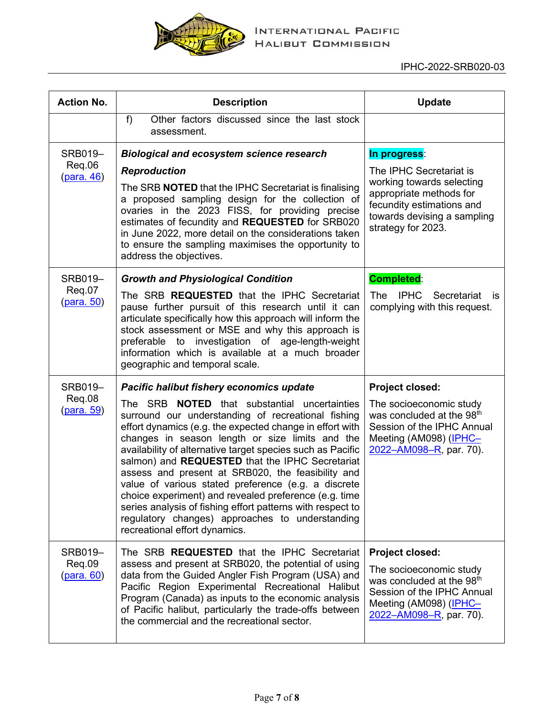

| <b>Action No.</b>                      | <b>Description</b>                                                                                                                                                                                                                                                                                                                                                                                                                                                                                                                                                                                                                                                      | <b>Update</b>                                                                                                                                                                 |
|----------------------------------------|-------------------------------------------------------------------------------------------------------------------------------------------------------------------------------------------------------------------------------------------------------------------------------------------------------------------------------------------------------------------------------------------------------------------------------------------------------------------------------------------------------------------------------------------------------------------------------------------------------------------------------------------------------------------------|-------------------------------------------------------------------------------------------------------------------------------------------------------------------------------|
|                                        | f<br>Other factors discussed since the last stock<br>assessment.                                                                                                                                                                                                                                                                                                                                                                                                                                                                                                                                                                                                        |                                                                                                                                                                               |
| SRB019-                                | <b>Biological and ecosystem science research</b>                                                                                                                                                                                                                                                                                                                                                                                                                                                                                                                                                                                                                        | In progress:                                                                                                                                                                  |
| Req.06<br><u>(para. 46)</u>            | <b>Reproduction</b>                                                                                                                                                                                                                                                                                                                                                                                                                                                                                                                                                                                                                                                     | The IPHC Secretariat is<br>working towards selecting                                                                                                                          |
|                                        | The SRB <b>NOTED</b> that the IPHC Secretariat is finalising<br>a proposed sampling design for the collection of<br>ovaries in the 2023 FISS, for providing precise<br>estimates of fecundity and REQUESTED for SRB020<br>in June 2022, more detail on the considerations taken<br>to ensure the sampling maximises the opportunity to<br>address the objectives.                                                                                                                                                                                                                                                                                                       | appropriate methods for<br>fecundity estimations and<br>towards devising a sampling<br>strategy for 2023.                                                                     |
| SRB019-                                | <b>Growth and Physiological Condition</b>                                                                                                                                                                                                                                                                                                                                                                                                                                                                                                                                                                                                                               | <b>Completed:</b>                                                                                                                                                             |
| Req.07<br><u>(para. 50)</u>            | The SRB <b>REQUESTED</b> that the IPHC Secretariat<br>pause further pursuit of this research until it can<br>articulate specifically how this approach will inform the<br>stock assessment or MSE and why this approach is<br>investigation of age-length-weight<br>preferable<br>to<br>information which is available at a much broader<br>geographic and temporal scale.                                                                                                                                                                                                                                                                                              | The IPHC Secretariat is<br>complying with this request.                                                                                                                       |
| SRB019-                                | Pacific halibut fishery economics update                                                                                                                                                                                                                                                                                                                                                                                                                                                                                                                                                                                                                                | Project closed:                                                                                                                                                               |
| Req.08<br>(para. 59)                   | The SRB <b>NOTED</b> that substantial uncertainties<br>surround our understanding of recreational fishing<br>effort dynamics (e.g. the expected change in effort with<br>changes in season length or size limits and the<br>availability of alternative target species such as Pacific<br>salmon) and <b>REQUESTED</b> that the IPHC Secretariat<br>assess and present at SRB020, the feasibility and<br>value of various stated preference (e.g. a discrete<br>choice experiment) and revealed preference (e.g. time<br>series analysis of fishing effort patterns with respect to<br>regulatory changes) approaches to understanding<br>recreational effort dynamics. | The socioeconomic study<br>was concluded at the 98 <sup>th</sup><br>Session of the IPHC Annual<br>Meeting (AM098) (IPHC-<br>2022-AM098-R, par. 70).                           |
| SRB019-<br>Req.09<br><u>(para. 60)</u> | The SRB <b>REQUESTED</b> that the IPHC Secretariat<br>assess and present at SRB020, the potential of using<br>data from the Guided Angler Fish Program (USA) and<br>Pacific Region Experimental Recreational Halibut<br>Program (Canada) as inputs to the economic analysis<br>of Pacific halibut, particularly the trade-offs between<br>the commercial and the recreational sector.                                                                                                                                                                                                                                                                                   | <b>Project closed:</b><br>The socioeconomic study<br>was concluded at the 98 <sup>th</sup><br>Session of the IPHC Annual<br>Meeting (AM098) (IPHC-<br>2022-AM098-R, par. 70). |